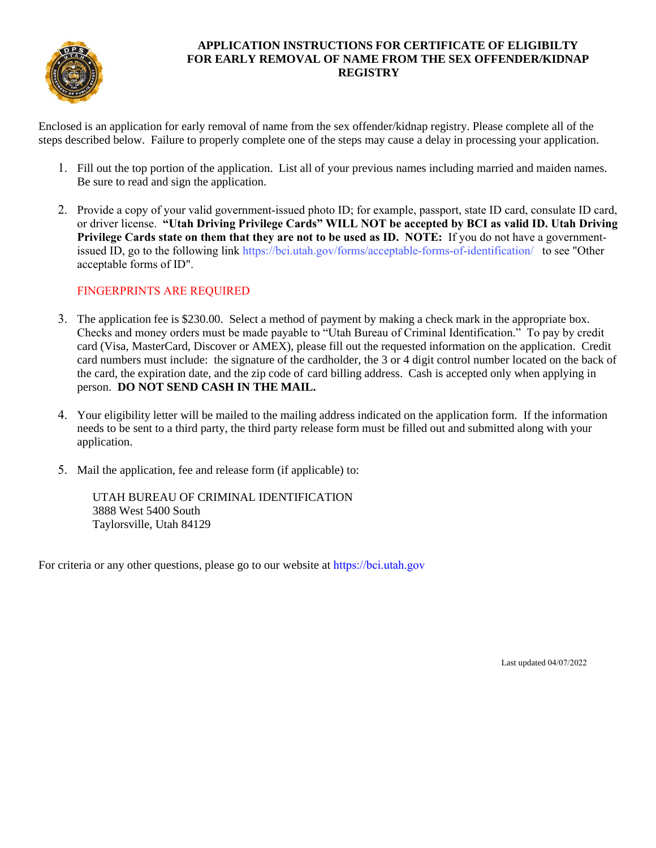

## **APPLICATION INSTRUCTIONS FOR CERTIFICATE OF ELIGIBILTY FOR EARLY REMOVAL OF NAME FROM THE SEX OFFENDER/KIDNAP REGISTRY**

Enclosed is an application for early removal of name from the sex offender/kidnap registry. Please complete all of the steps described below. Failure to properly complete one of the steps may cause a delay in processing your application.

- 1. Fill out the top portion of the application. List all of your previous names including married and maiden names. Be sure to read and sign the application.
- 2. Provide a copy of your valid government-issued photo ID; for example, passport, state ID card, consulate ID card, or driver license. **"Utah Driving Privilege Cards" WILL NOT be accepted by BCI as valid ID. Utah Driving Privilege Cards state on them that they are not to be used as ID. NOTE:** If you do not have a governmentissued ID, go to the following link https://bci.utah.gov/forms/acceptable-forms-of-identification/ to see "Other acceptable forms of ID".

## FINGERPRINTS ARE REQUIRED

- 3. The application fee is \$230.00. Select a method of payment by making a check mark in the appropriate box. Checks and money orders must be made payable to "Utah Bureau of Criminal Identification." To pay by credit card (Visa, MasterCard, Discover or AMEX), please fill out the requested information on the application. Credit card numbers must include: the signature of the cardholder, the 3 or 4 digit control number located on the back of the card, the expiration date, and the zip code of card billing address. Cash is accepted only when applying in person. **DO NOT SEND CASH IN THE MAIL.**
- 4. Your eligibility letter will be mailed to the mailing address indicated on the application form. If the information needs to be sent to a third party, the third party release form must be filled out and submitted along with your application.
- 5. Mail the application, fee and release form (if applicable) to:

UTAH BUREAU OF CRIMINAL IDENTIFICATION 3888 West 5400 South Taylorsville, Utah 84129

For criteria or any other questions, please go to our website at https://bci.utah.gov

Last updated 04/07/2022